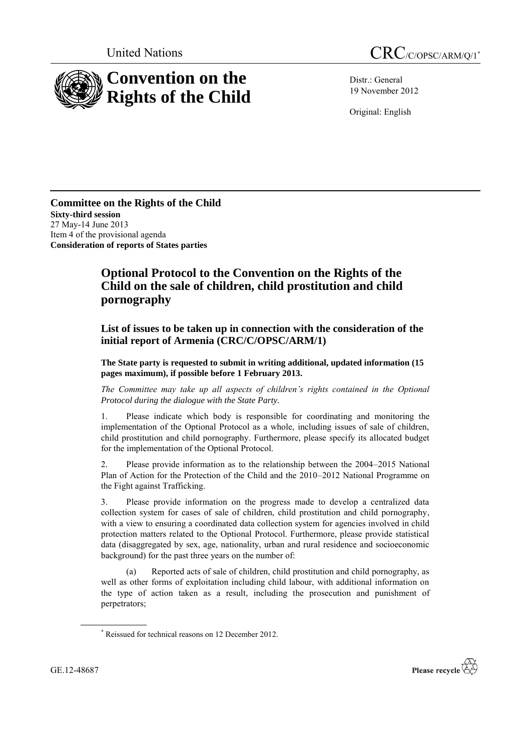

Distr.: General 19 November 2012

Original: English

**Committee on the Rights of the Child Sixty-third session** 27 May-14 June 2013 Item 4 of the provisional agenda **Consideration of reports of States parties**

## **Optional Protocol to the Convention on the Rights of the Child on the sale of children, child prostitution and child pornography**

**List of issues to be taken up in connection with the consideration of the initial report of Armenia (CRC/C/OPSC/ARM/1)**

**The State party is requested to submit in writing additional, updated information (15 pages maximum), if possible before 1 February 2013.**

*The Committee may take up all aspects of children's rights contained in the Optional Protocol during the dialogue with the State Party.*

1. Please indicate which body is responsible for coordinating and monitoring the implementation of the Optional Protocol as a whole, including issues of sale of children, child prostitution and child pornography. Furthermore, please specify its allocated budget for the implementation of the Optional Protocol.

2. Please provide information as to the relationship between the 2004–2015 National Plan of Action for the Protection of the Child and the 2010–2012 National Programme on the Fight against Trafficking.

3. Please provide information on the progress made to develop a centralized data collection system for cases of sale of children, child prostitution and child pornography, with a view to ensuring a coordinated data collection system for agencies involved in child protection matters related to the Optional Protocol. Furthermore, please provide statistical data (disaggregated by sex, age, nationality, urban and rural residence and socioeconomic background) for the past three years on the number of:

(a) Reported acts of sale of children, child prostitution and child pornography, as well as other forms of exploitation including child labour, with additional information on the type of action taken as a result, including the prosecution and punishment of perpetrators;



<sup>\*</sup> Reissued for technical reasons on 12 December 2012.